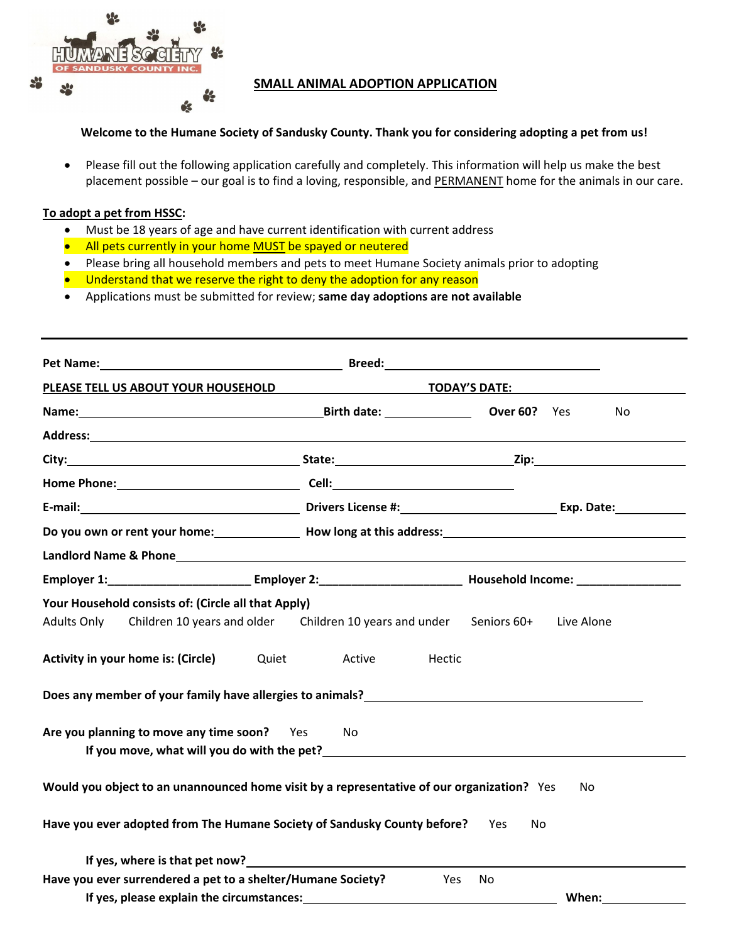

## **SMALL ANIMAL ADOPTION APPLICATION**

## **Welcome to the Humane Society of Sandusky County. Thank you for considering adopting a pet from us!**

 Please fill out the following application carefully and completely. This information will help us make the best placement possible – our goal is to find a loving, responsible, and PERMANENT home for the animals in our care.

## **To adopt a pet from HSSC:**

- Must be 18 years of age and have current identification with current address
- All pets currently in your home MUST be spayed or neutered
- Please bring all household members and pets to meet Humane Society animals prior to adopting
- Understand that we reserve the right to deny the adoption for any reason
- Applications must be submitted for review; **same day adoptions are not available**

| Pet Name: <u>Name: All and All and All and All and All and All and All and All and All and All and All and All and All and All and All and All and All and All and All and All and All and All and All and All and All and All a</u> |                                                                               |                                                                                   |  |
|--------------------------------------------------------------------------------------------------------------------------------------------------------------------------------------------------------------------------------------|-------------------------------------------------------------------------------|-----------------------------------------------------------------------------------|--|
| PLEASE TELL US ABOUT YOUR HOUSEHOLD                                                                                                                                                                                                  | <b>TODAY'S DATE:</b>                                                          |                                                                                   |  |
|                                                                                                                                                                                                                                      |                                                                               | Over 60? Yes<br>No                                                                |  |
| Address: Address: Address: Address: Address: Address: Address: Address: Address: Address: Address: A                                                                                                                                 |                                                                               |                                                                                   |  |
|                                                                                                                                                                                                                                      |                                                                               |                                                                                   |  |
|                                                                                                                                                                                                                                      |                                                                               |                                                                                   |  |
|                                                                                                                                                                                                                                      |                                                                               |                                                                                   |  |
|                                                                                                                                                                                                                                      |                                                                               | Do you own or rent your home: Now long at this address: Now long at this address: |  |
|                                                                                                                                                                                                                                      |                                                                               |                                                                                   |  |
|                                                                                                                                                                                                                                      |                                                                               |                                                                                   |  |
| Your Household consists of: (Circle all that Apply)<br><b>Adults Only</b><br>Activity in your home is: (Circle)<br>Quiet                                                                                                             | Children 10 years and older Children 10 years and under Seniors 60+<br>Active | Live Alone<br>Hectic                                                              |  |
| Does any member of your family have allergies to animals?<br><u>Does any member of your family have allergies to animals?</u>                                                                                                        |                                                                               |                                                                                   |  |
| Are you planning to move any time soon? Yes                                                                                                                                                                                          | No.                                                                           |                                                                                   |  |
| Would you object to an unannounced home visit by a representative of our organization? Yes                                                                                                                                           |                                                                               | No                                                                                |  |
| Have you ever adopted from The Humane Society of Sandusky County before?                                                                                                                                                             |                                                                               | No<br>Yes.                                                                        |  |
| If yes, where is that pet now?                                                                                                                                                                                                       |                                                                               |                                                                                   |  |
| Have you ever surrendered a pet to a shelter/Humane Society?                                                                                                                                                                         |                                                                               | Yes<br>No.                                                                        |  |
| If yes, please explain the circumstances:                                                                                                                                                                                            |                                                                               | When:                                                                             |  |